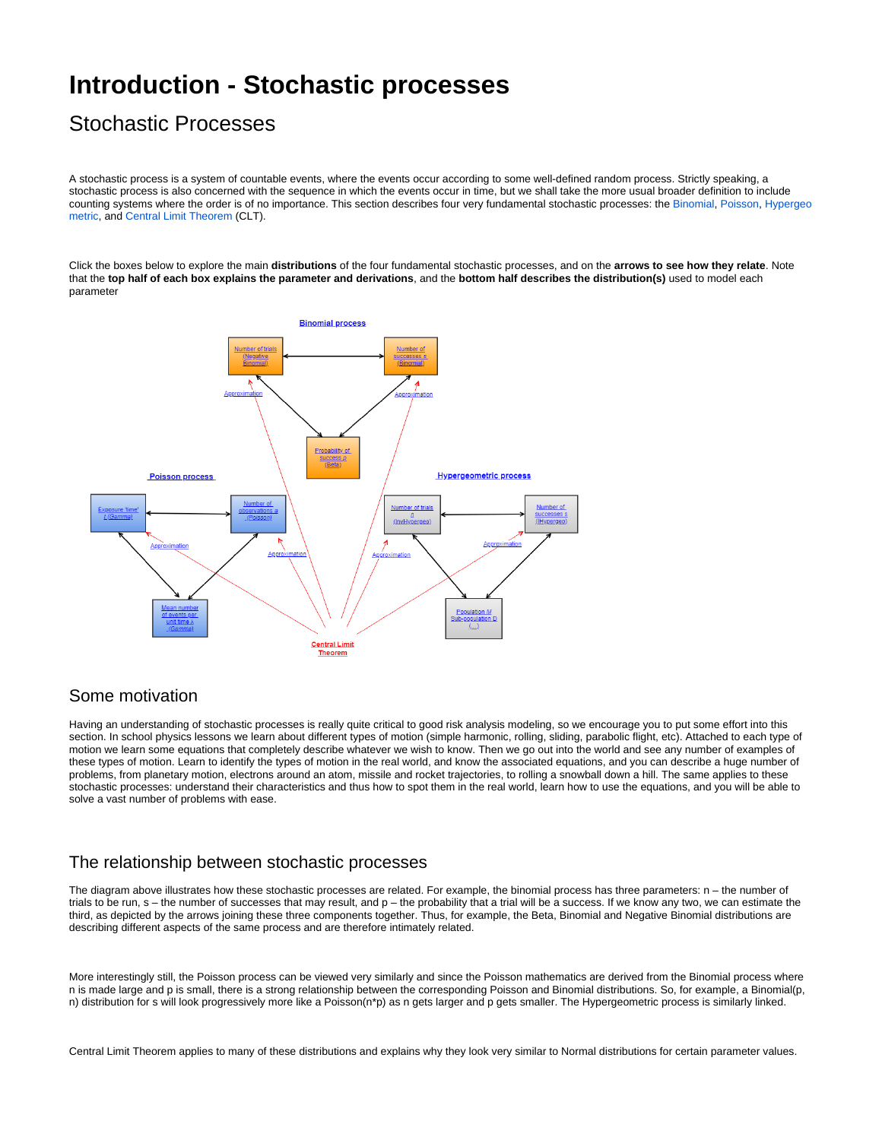# **Introduction - Stochastic processes**

## Stochastic Processes

A stochastic process is a system of countable events, where the events occur according to some well-defined random process. Strictly speaking, a stochastic process is also concerned with the sequence in which the events occur in time, but we shall take the more usual broader definition to include counting systems where the order is of no importance. This section describes four very fundamental stochastic processes: the [Binomial](https://modelassist.epixanalytics.com/display/EA/Introduction+-+The+binomial+process), [Poisson](https://modelassist.epixanalytics.com/display/EA/Introduction+-+The+Poisson+Process), [Hypergeo](https://modelassist.epixanalytics.com/display/EA/Introduction+-+The+Hypergeometric+Process) [metric](https://modelassist.epixanalytics.com/display/EA/Introduction+-+The+Hypergeometric+Process), and [Central Limit Theorem](https://modelassist.epixanalytics.com/display/EA/Central+Limit+Theorem) (CLT).

Click the boxes below to explore the main **distributions** of the four fundamental stochastic processes, and on the **arrows to see how they relate**. Note that the **top half of each box explains the parameter and derivations**, and the **bottom half describes the distribution(s)** used to model each parameter



#### Some motivation

Having an understanding of stochastic processes is really quite critical to good risk analysis modeling, so we encourage you to put some effort into this section. In school physics lessons we learn about different types of motion (simple harmonic, rolling, sliding, parabolic flight, etc). Attached to each type of motion we learn some equations that completely describe whatever we wish to know. Then we go out into the world and see any number of examples of these types of motion. Learn to identify the types of motion in the real world, and know the associated equations, and you can describe a huge number of problems, from planetary motion, electrons around an atom, missile and rocket trajectories, to rolling a snowball down a hill. The same applies to these stochastic processes: understand their characteristics and thus how to spot them in the real world, learn how to use the equations, and you will be able to solve a vast number of problems with ease.

### The relationship between stochastic processes

The diagram above illustrates how these stochastic processes are related. For example, the binomial process has three parameters: n – the number of trials to be run,  $s$  – the number of successes that may result, and  $p$  – the probability that a trial will be a success. If we know any two, we can estimate the third, as depicted by the arrows joining these three components together. Thus, for example, the Beta, Binomial and Negative Binomial distributions are describing different aspects of the same process and are therefore intimately related.

More interestingly still, the Poisson process can be viewed very similarly and since the Poisson mathematics are derived from the Binomial process where n is made large and p is small, there is a strong relationship between the corresponding Poisson and Binomial distributions. So, for example, a Binomial(p, n) distribution for s will look progressively more like a Poisson(n\*p) as n gets larger and p gets smaller. The Hypergeometric process is similarly linked.

Central Limit Theorem applies to many of these distributions and explains why they look very similar to Normal distributions for certain parameter values.